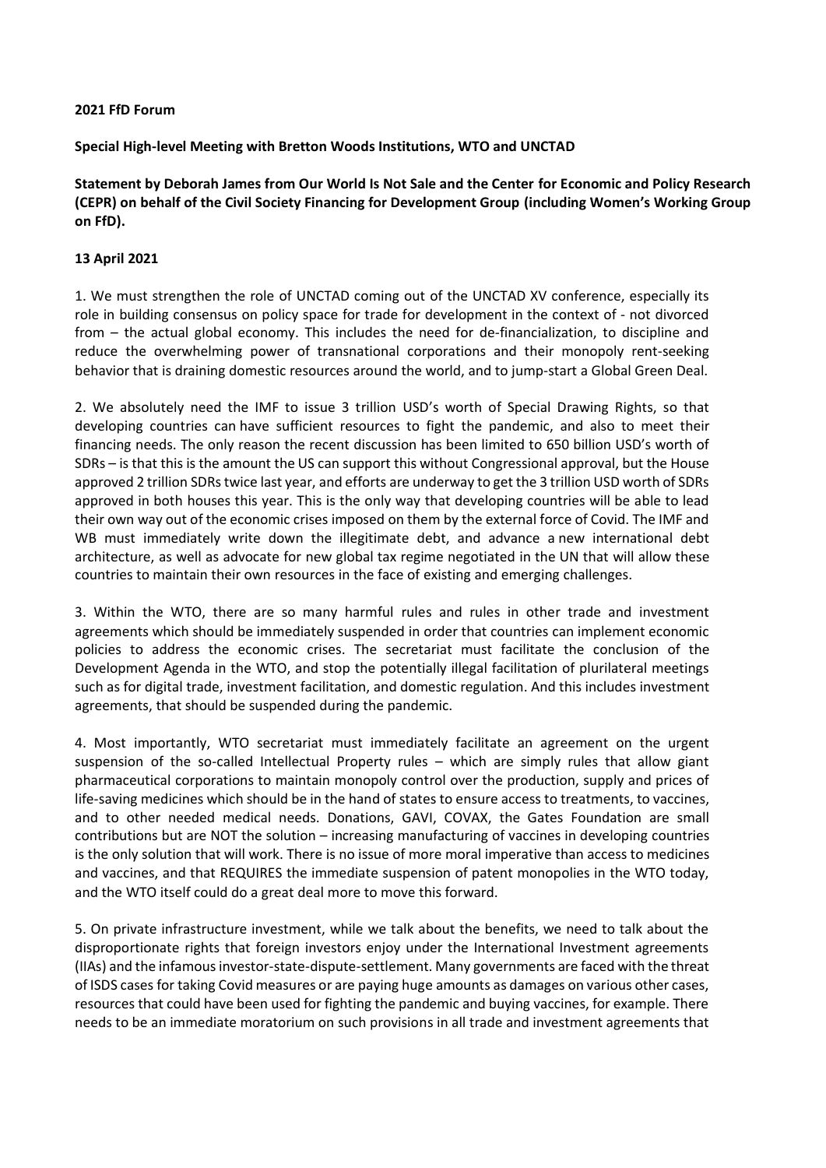## **2021 FfD Forum**

**Special High-level Meeting with Bretton Woods Institutions, WTO and UNCTAD**

**Statement by Deborah James from Our World Is Not Sale and the Center for Economic and Policy Research (CEPR) on behalf of the Civil Society Financing for Development Group (including Women's Working Group on FfD).** 

## **13 April 2021**

1. We must strengthen the role of UNCTAD coming out of the UNCTAD XV conference, especially its role in building consensus on policy space for trade for development in the context of - not divorced from – the actual global economy. This includes the need for de-financialization, to discipline and reduce the overwhelming power of transnational corporations and their monopoly rent-seeking behavior that is draining domestic resources around the world, and to jump-start a Global Green Deal.

2. We absolutely need the IMF to issue 3 trillion USD's worth of Special Drawing Rights, so that developing countries can have sufficient resources to fight the pandemic, and also to meet their financing needs. The only reason the recent discussion has been limited to 650 billion USD's worth of SDRs – is that this is the amount the US can support this without Congressional approval, but the House approved 2 trillion SDRstwice last year, and efforts are underway to get the 3 trillion USD worth of SDRs approved in both houses this year. This is the only way that developing countries will be able to lead their own way out of the economic crises imposed on them by the external force of Covid. The IMF and WB must immediately write down the illegitimate debt, and advance a new international debt architecture, as well as advocate for new global tax regime negotiated in the UN that will allow these countries to maintain their own resources in the face of existing and emerging challenges.

3. Within the WTO, there are so many harmful rules and rules in other trade and investment agreements which should be immediately suspended in order that countries can implement economic policies to address the economic crises. The secretariat must facilitate the conclusion of the Development Agenda in the WTO, and stop the potentially illegal facilitation of plurilateral meetings such as for digital trade, investment facilitation, and domestic regulation. And this includes investment agreements, that should be suspended during the pandemic.

4. Most importantly, WTO secretariat must immediately facilitate an agreement on the urgent suspension of the so-called Intellectual Property rules – which are simply rules that allow giant pharmaceutical corporations to maintain monopoly control over the production, supply and prices of life-saving medicines which should be in the hand of states to ensure access to treatments, to vaccines, and to other needed medical needs. Donations, GAVI, COVAX, the Gates Foundation are small contributions but are NOT the solution – increasing manufacturing of vaccines in developing countries is the only solution that will work. There is no issue of more moral imperative than access to medicines and vaccines, and that REQUIRES the immediate suspension of patent monopolies in the WTO today, and the WTO itself could do a great deal more to move this forward.

5. On private infrastructure investment, while we talk about the benefits, we need to talk about the disproportionate rights that foreign investors enjoy under the International Investment agreements (IIAs) and the infamous investor-state-dispute-settlement. Many governments are faced with the threat of ISDS cases for taking Covid measures or are paying huge amounts as damages on various other cases, resources that could have been used for fighting the pandemic and buying vaccines, for example. There needs to be an immediate moratorium on such provisions in all trade and investment agreements that